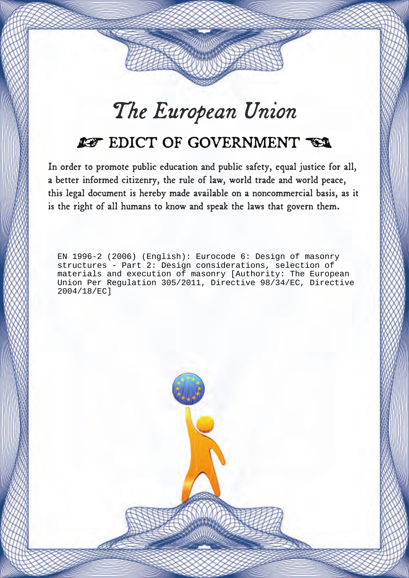# *The European Union*

# *LEF* EDICT OF GOVERNMENT ₹

In order to promote public education and public safety, equal justice for all, a better informed citizenry, the rule of law, world trade and world peace, this legal document is hereby made available on a noncommercial basis, as it is the right of all humans to know and speak the laws that govern them.

EN 1996-2 (2006) (English): Eurocode 6: Design of masonry structures - Part 2: Design considerations, selection of materials and execution of masonry [Authority: The European Union Per Regulation 305/2011, Directive 98/34/EC, Directive 2004/18/EC]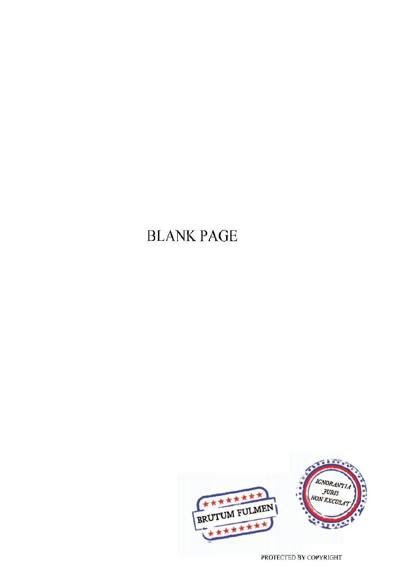# **BLANK PAGE**



PROTECTED BY COPYRIGHT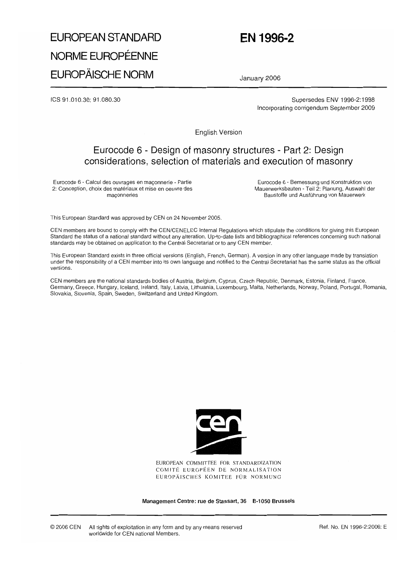# **EUROPEAN STANDARD NORME EUROPEENNE EUROpAISCHE NORM**

## **EN 1996·2**

January 2006

ICS 91.010.30; 91.080.30 Supersedes ENV 1996-2:1998 Incorporating corrigendum September 2009

English Version

## Eurocode 6 - Design of masonry structures - Part 2: Design considerations, selection of materials and execution of masonry

Eurocode 6 - Calcul des ouvrages en maçonnerie - Partie 2: Conception, choix des materiaux et mise en oeuvre des maçonneries

Eurocode 6 - Bemessung und Konstruktion von Mauerwerksbauten - Teil 2: Planung, Auswahl der Baustoffe und Ausführung von Mauerwerk

This European Standard was approved by CEN on 24 November 2005.

CEN members are bound to comply with the CEN/CENELEC Internal Regulations which stipulate the conditions for giving this European Standard the status of a national standard without any alteration. Up-to-date lists and bibliographical references concerning such national standards may be obtained on application to the Central Secretariat or to any CEN member.

This European Standard exists in three official versions (English, French, German). A version in any other language made by translation under the responsibility of a CEN member into its own language and notified to the Central Secretariat has the same status as the official versions.

CEN members are the national standards bodies of Austria, Belgium, Cyprus, Czech Republic, Denmark, Estonia, Finland, France, Germany, Greece, Hungary, Iceland, Ireland, Italy, Latvia, Lithuania, Luxembourg, Malta, Netherlands, Norway, Poland, Portugal, Romania, Slovakia, Slovenia, Spain, Sweden, Switzerland and United Kingdom.



EUROPEAN COMMITTEE FOR STANDARDIZATION COMITÉ EUROPÉEN DE NORMALISATION EUROPÄISCHES KOMITEE FÜR NORMUNG

Management Centre: rue de Stassart, 36 B-1050 Brussels

© 2006 CEN All rights of exploitation in any form and by any means reserved worldwide for CEN national Members.

Ref. No. EN 1996-2:2006: E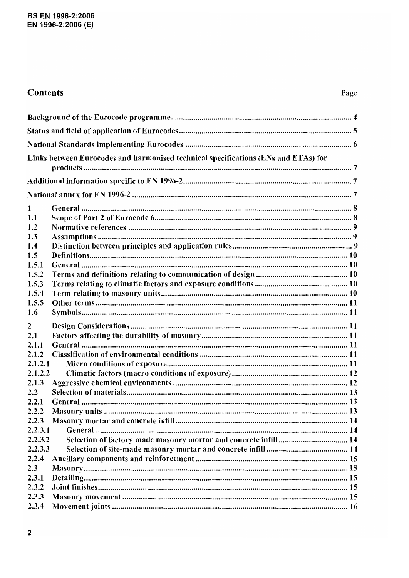## **Contents**

|                | Links between Eurocodes and harmonised technical specifications (ENs and ETAs) for |
|----------------|------------------------------------------------------------------------------------|
|                |                                                                                    |
|                |                                                                                    |
| 1              |                                                                                    |
| 1.1            |                                                                                    |
| 1.2            |                                                                                    |
| 1.3            |                                                                                    |
| 1.4            |                                                                                    |
| 1.5            |                                                                                    |
| 1.5.1          |                                                                                    |
| 1.5.2          |                                                                                    |
| 1.5.3          |                                                                                    |
| 1.5.4          |                                                                                    |
| 1.5.5          |                                                                                    |
| 1.6            |                                                                                    |
| $\overline{2}$ |                                                                                    |
| 2.1            |                                                                                    |
| 2.1.1          |                                                                                    |
| 2.1.2          |                                                                                    |
| 2.1.2.1        |                                                                                    |
| 2.1.2.2        |                                                                                    |
| 2.1.3          |                                                                                    |
| 2.2            |                                                                                    |
| 2.2.1          |                                                                                    |
| 2.2.2          |                                                                                    |
| 2.2.3          |                                                                                    |
| 2.2.3.1        |                                                                                    |
| 2.2.3.2        |                                                                                    |
| 2.2.3.3        |                                                                                    |
| 2.2.4          |                                                                                    |
| 2.3            |                                                                                    |
| 2.3.1          |                                                                                    |
| 2.3.2          |                                                                                    |
| 2.3.3          |                                                                                    |
| 2.3.4          |                                                                                    |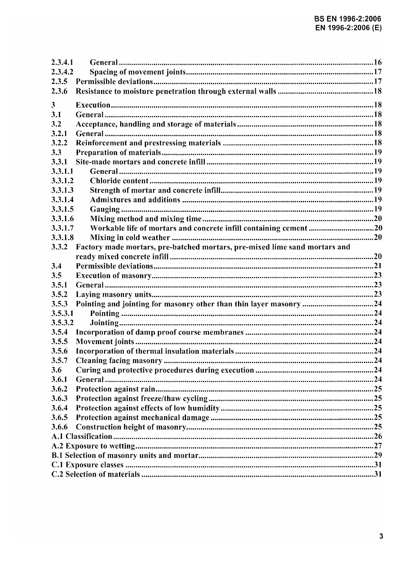|         | 2.3.4.1                                                                    |  |
|---------|----------------------------------------------------------------------------|--|
| 2.3.4.2 |                                                                            |  |
| 2.3.5   |                                                                            |  |
| 2.3.6   |                                                                            |  |
| 3       |                                                                            |  |
| 3.1     |                                                                            |  |
| 3.2     |                                                                            |  |
| 3.2.1   |                                                                            |  |
| 3.2.2   |                                                                            |  |
| 3.3     |                                                                            |  |
| 3.3.1   |                                                                            |  |
| 3.3.1.1 |                                                                            |  |
| 3.3.1.2 |                                                                            |  |
| 3.3.1.3 |                                                                            |  |
| 3.3.1.4 |                                                                            |  |
| 3.3.1.5 |                                                                            |  |
| 3.3.1.6 |                                                                            |  |
| 3.3.1.7 |                                                                            |  |
| 3.3.1.8 |                                                                            |  |
| 3.3.2   | Factory made mortars, pre-batched mortars, pre-mixed lime sand mortars and |  |
|         |                                                                            |  |
| 3.4     |                                                                            |  |
| 3.5     |                                                                            |  |
|         |                                                                            |  |
| 3.5.1   |                                                                            |  |
| 3.5.2   |                                                                            |  |
| 3.5.3   | Pointing and jointing for masonry other than thin layer masonry 24         |  |
| 3.5.3.1 |                                                                            |  |
| 3.5.3.2 |                                                                            |  |
| 3.5.4   |                                                                            |  |
| 3.5.5   |                                                                            |  |
| 3.5.6   |                                                                            |  |
| 3.5.7   |                                                                            |  |
| 3.6     |                                                                            |  |
| 3.6.1   |                                                                            |  |
| 3.6.2   |                                                                            |  |
| 3.6.3   |                                                                            |  |
| 3.6.4   |                                                                            |  |
| 3.6.5   |                                                                            |  |
| 3.6.6   |                                                                            |  |
|         |                                                                            |  |
|         |                                                                            |  |
|         |                                                                            |  |
|         |                                                                            |  |
|         |                                                                            |  |
|         |                                                                            |  |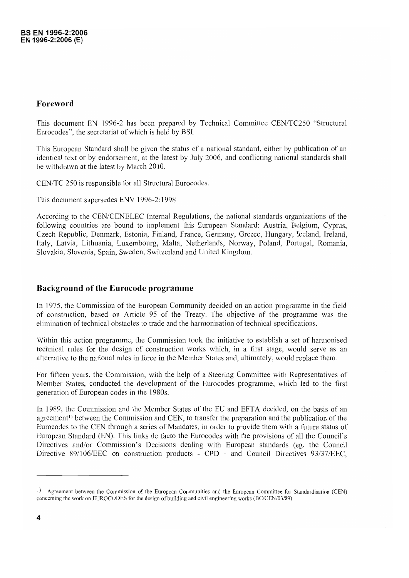## **Foreword**

This document EN 1996-2 has been prepared by Technical Committee *CEN/TC250* "Structural Eurocodes", the secretariat of which is held by BSI.

This European Standard shall be given the status of a national standard, either by publication of an identical text or by endorsement, at the latest by July 2006, and conflicting national standards shall be withdrawn at the latest by March 2010.

*CEN/TC* 250 is responsible for all Structural Eurocodes.

This document supersedes ENV 1996-2: 1998

According to the CEN/CENELEC Internal Regulations, the national standards organizations of the following countries are bound to implement this European Standard: Austria, Belgium, Cyprus, Czech Republic, Denmark, Estonia, Finland, France, Germany, Greece, Hungary, Iceland, Ireland, Italy, Latvia, Lithuania, Luxembourg, Malta, Netherlands, Norway, Poland, Portugal, Romania, Slovakia, Slovenia, Spain, Sweden, Switzerland and United Kingdom.

#### **Background of the Eurocode programme**

In 1975, the Commission of the European Community decided on an action programme in the field of construction, based on Article 95 of the Treaty. The objective of the programme was the elimination of technical obstacles to trade and the harmonisation of technical specifications.

Within this action programme, the Commission took the initiative to establish a set of harmonised technical rules for the design of construction works which, in a first stage, would serve as an alternative to the national rules in force in the Member States and, ultimately, would replace them.

For fifteen years, the Commission, with the help of a Steering Committee with Representatives of Member States, conducted the development of the Eurocodes programme, which led to the first generation of European codes in the 1980s.

In 1989, the Commission and the Member States of the EU and EFTA decided, on the basis of an agreement<sup>1)</sup> between the Commission and CEN, to transfer the preparation and the publication of the Eurocodes to the CEN through a series of Mandates, in order to provide them with a future status of European Standard (EN). This links de facto the Eurocodes with the provisions of all the Council's Directives and *lor* Commission's Decisions dealing with European standards (eg. the Council Directive 89/106/EEC on construction products - CPD - and Council Directives 93/37/EEC,

<sup>&</sup>lt;sup>1</sup>) Agreement between the Commission of the European Communities and the European Committee for Standardisation (CEN) concerning the work on EUROCODES for the design of building and civil engineering works (BC/CEN/03/89).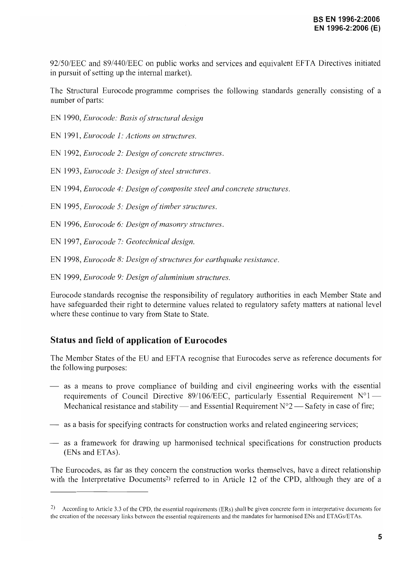92/50/EEC and 89/440/EEC on public works and services and equivalent EFTA Directives initiated in pursuit of setting up the internal market).

The Structural Eurocode programme comprises the following standards generally consisting of a number of parts:

EN 1990, *Eurocode: Basis of structural design* 

EN 1991 *Eurocode 1: Actions on structures.* 

EN 1992, *Eurocode* 2: *Design of concrete structures.* 

1993, *Eurocode* 3: *Design of steel structures.* 

EN 1994, *Eurocode* 4: *Design of composite steel and concrete structures.* 

EN 1995, *Eurocode* 5: *Design of timber structures.* 

EN 1996, *Eurocode* 6: *Design of masomy structures.* 

EN 1997, *Eurocode* 7: *Geotechnical design.* 

EN 1998, *Eurocode* 8: *Design of structures for earthquake resistance.* 

1999, *Eurocode* 9: *Design of aluminium structures.* 

Eurocode standards recognise the responsibility of regulatory authorities in each Member State and have safeguarded their right to determine values related to regulatory safety matters at national level where these continue to vary from State to State.

## **Status and field of application of Eurocodes**

The Member States of the EU and EFTA recognise that Eurocodes serve as reference documents for the following purposes:

- as a means to prove compliance of building and civil engineering works with the essential requirements of Council Directive 89/106/EEC, particularly Essential Requirement N°1 -Mechanical resistance and stability — and Essential Requirement  $N^{\circ}2$  — Safety in case of fire;
- $\overline{\phantom{a}}$  as a basis for specifying contracts for construction works and related engineering services;
- as a framework for drawing up harmonised technical specifications for construction products (ENs and ETAs).

The Eurocodes, as far as they concern the construction works themselves, have a direct relationship with the Interpretative Documents<sup>2</sup> referred to in Article 12 of the CPD, although they are of a

 $2)$  According to Article 3.3 of the CPD, the essential requirements (ERs) shall be given concrete form in interpretative documents for the creation of the necessary links between the essential requirements and the mandates for harmonised ENs and ET *AGs/ET* As.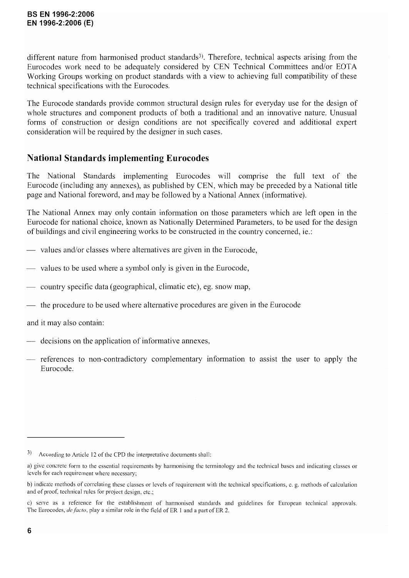different nature from harmonised product standards<sup>3)</sup>. Therefore, technical aspects arising from the Eurocodes work need to be adequately considered by CEN Technical Committees and/or EOTA Working Groups working on product standards with a view to achieving full compatibility of these technical specifications with the Eurocodes.

The Eurocode standards provide common structural design rules for everyday use for the design of whole structures and component products of both a traditional and an innovative nature. Unusual forms of construction or design conditions are not specifically covered and additional expert consideration will be required by the designer in such cases.

## **Nationa1 Standards imp1ementing Eurocodes**

The National Standards implementing Eurocodes will comprise the full text of the Eurocode (including any annexes), as published by CEN, which may be preceded by a National title page and National foreword, and may be followed by a National Annex (informative).

The National Annex may only contain information on those parameters which are left open in the Eurocode for national choice, known as Nationally Determined Parameters, to be used for the design of buildings and civil engineering works to be constructed in the country concerned,

- values and/or classes where alternatives are given in the Eurocode,
- values to be used where a symbol only is given in the Eurocode,
- $\equiv$  country specific data (geographical, climatic etc), eg. snow map,
- the procedure to be used where alternative procedures are given in the Eurocode

and it may also contain:

- decisions on the application of informative annexes,
- references to non-contradictory complementary information to assist the user to apply the Eurocode.

<sup>3)</sup> According to Article 12 of the CPD the interpretative documents shall:

a) give concrete form to the essential requirements by harmonising the terminology and the technical bases and indicating classes or levels for each requirement where necessary;

b) indicate methods of correlating these classes or levels of requirement with the technical specifications, e. g. methods of calculation and of proof, technical rules for project design, etc.;

c) serve as a reference for the establishment of harmonised standards and guidelines for European technical approvals. The Eurocodes, *de facto*, play a similar role in the field of ER 1 and a part of ER 2.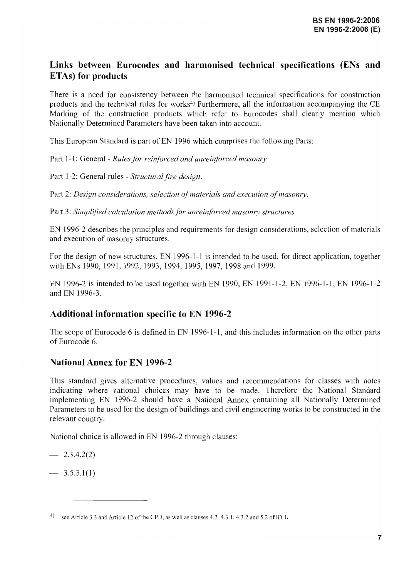## **Links between Eurocodes and harmonised technical specifications (ENs and ETAs) for products**

There is a need for consistency between the hannonised technical specifications for construction products and the technical rules for works<sup>4)</sup> Furthermore, all the information accompanying the CE Marking of the construction products which refer to Eurocodes shall clearly mention which Nationally Determined Parameters have been taken into account.

This European Standard is part of EN 1996 which comprises the following Parts:

Part 1-1: General - *Rules for reinforced and unreiriforced masonry* 

Part 1-2: General rules - *Structural fire design.* 

Part 2: *Design considerations, selection of materials and execution of masonry.* 

Part 3: Simplified calculation methods for unreinforced masonry structures

EN 1996-2 describes the principles and requirements for design considerations, selection of materials and execution of masonry structures.

For the design of new structures, EN 1996-1-1 is intended to be used, for direct application, together with ENs 1990, 1991, 1992,1993,1994,1995,1997,1998 and 1999.

EN 1996-2 is intended to be used together with EN 1990, EN 1991-1-2, EN 1996-1-1, EN 1996-1-2 and EN 1996-3.

## **Additional information specific to EN 1996-2**

The scope of Eurocode 6 is defined in EN 1996-1-1, and this includes information on the other parts of Eurocode 6.

## **National Annex for EN 1996-2**

This standard gives alternative procedures, values and recommendations for classes with notes indicating where national choices may have to be made. Therefore the National Standard implementing EN 1996-2 should have a National Annex containing all Nationally Determined Parameters to be used for the design of buildings and civil engineering works to be constructed in the relevant country.

National choice is allowed in 1996-2 through clauses:

 $-2.3.4.2(2)$ 

 $-3.5.3.1(1)$ 

<sup>4)</sup> see Article 3.3 and Article 12 of the CPD, as well as clauses 4.2, 4.3.1, 4.3.2 and 5.2 of ID 1.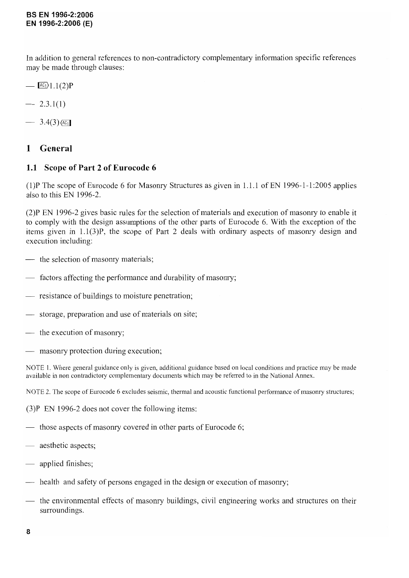In addition to general references to non-contradictory complementary information specific references may be made through clauses:

- $\leftarrow$   $\overline{AC_1}$ 1.1(2)P
- $-2.3.1(1)$
- $-3.4(3)$  (AC<sub>1</sub>)

## **1 General**

## **1.1 Scope** of Part **2 of Eurocode 6**

(l)P The scope of Eurocode 6 for Masonry Structures as given in 1.1.1 of EN 1996-1-1 :2005 applies also to this EN 1996-2.

 $(2)$ P EN 1996-2 gives basic rules for the selection of materials and execution of masonry to enable it to comply with the design assumptions of the other parts of Eurocode 6. With the exception of the items given in  $1.1(3)P$ , the scope of Part 2 deals with ordinary aspects of masonry design and execution including:

- the selection of masonry materials;
- factors affecting the performance and durability of masonry;
- resistance of buildings to moisture penetration;
- storage, preparation and use of materials on site;
- the execution of masonry;
- masonry protection during execution;

NOTE 1. Where general guidance only is given, additional guidance based on local conditions and practice may be made available in non contradictory complementary documents which may be refened to in the National Annex.

NOTE 2. The scope of Eurocode 6 excludes seismic, thermal and acoustic functional performance of masonry structures;

- $(3)$ P EN 1996-2 does not cover the following items:
- $\frac{1}{10}$  those aspects of masonry covered in other parts of Eurocode 6;
- aesthetic aspects;
- applied finishes;
- health and safety of persons engaged in the design or execution of masonry;
- the environmental effects of masonry buildings, civil engineering works and structures on their surroundings.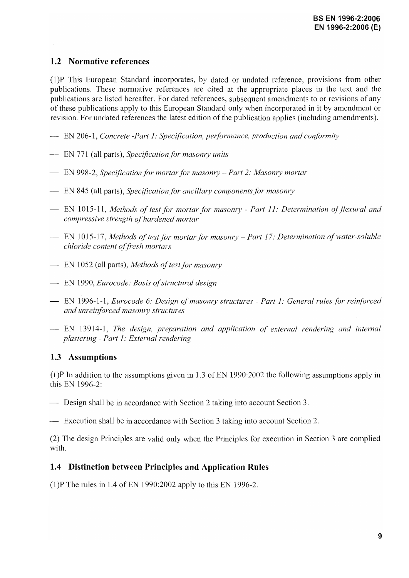## **1.2 Normative references**

(1)P This European Standard incorporates, by dated or undated reference, provisions from other publications. These normative references are cited at the appropriate places in the text and the publications are listed hereafter. For dated references, subsequent amendments to or revisions of any of these publications apply to this European Standard only when incorporated in it by amendment or revision. For undated references the latest edition of the publication applies (including amendments).

- EN 206-1, *Concrete -Part 1: Specification, performance, production and conformity*
- $\equiv$  EN 771 (all parts), *Specification for masonry units*
- $\equiv$  EN 998-2, *Specification for mortar for masonry Part 2: Masonry mortar*
- $\equiv$  EN 845 (all parts), *Specification for ancillary components for masonry*
- $-$  EN 1015-11, Methods of test for mortar for masonry Part 11: Determination of flexural and *compressive strength of hardened mortar*
- *1015-17, Method's of test for mortar for masonry Part* 17: *Determination of water-soluble chloride content offresh mortars*
- $\equiv$  EN 1052 (all parts), *Methods of test for masonry*
- EN 1990, *Eurocode: Basis of structural design*
- $\equiv$  EN 1996-1-1, *Eurocode 6: Design of masonry structures Part 1: General rules for reinforced*  $and$  unreinforced masonry structures
- EN 13914-1, *The design, preparation and application of external rendering and internal plastering* - *Part* 1: *External rendering*

## **1.3 Assumptions**

(1)P In addition to the assumptions given in 1.3 of EN 1990:2002 the following assumptions apply in this EN 1996-2:

- Design shall be in accordance with Section 2 taking into account Section 3.
- Execution shall be in accordance with Section 3 taking into account Section 2.

(2) The design Principles are valid only when the Principles for execution in Section 3 are complied with.

## **1.4 Distinction between Principles and Application Rules**

(1)P The rules in 1.4 of EN 1990:2002 apply to this EN 1996-2.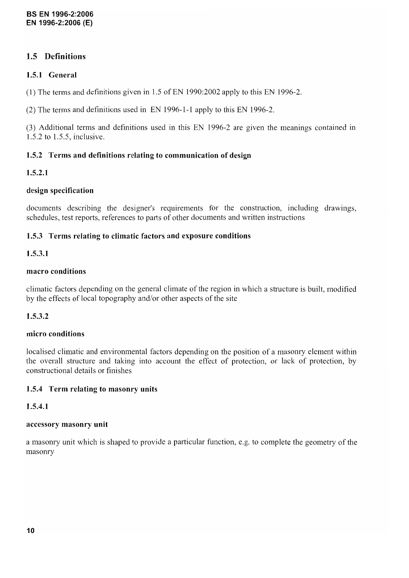## 1.5 Definitions

## **1.5.1 General**

(1) The terms and definitions given in 1.5 of EN 1990:2002 apply to this EN 1996-2.

 $(2)$  The terms and definitions used in EN 1996-1-1 apply to this EN 1996-2.

(3) Additional tenns and definitions used in this EN 1996-2 are given the meanings contained in 1.5.2 to 1.5.5, inclusive.

## **1.5.2 Terms and definitions relating to communication of design**

## **1.5.2.1**

## **design specification**

documents describing the designer's requirements for the construction, including drawings, schedules, test reports, references to parts of other documents and written instructions

## **1.5.3 Terms relating to climatic factors and exposure conditions**

## **1.5.3.1**

## **macro conditions**

climatic factors depending on the general climate of the region in which a structure is built, modified by the effects of local topography and/or other aspects of the site

## **1.5.3.2**

## **micro conditions**

localised climatic and environmental factors depending on the position of a masonry element within the overall structure and taking into account the effect of protection, or lack of protection, by constructional details or finishes

## **1.5.4 Term relating to masonry units**

## **1.5.4.1**

## **accessory masonry unit**

a masonry unit which is shaped to provide a particular function, e.g. to complete the geometry of the masonry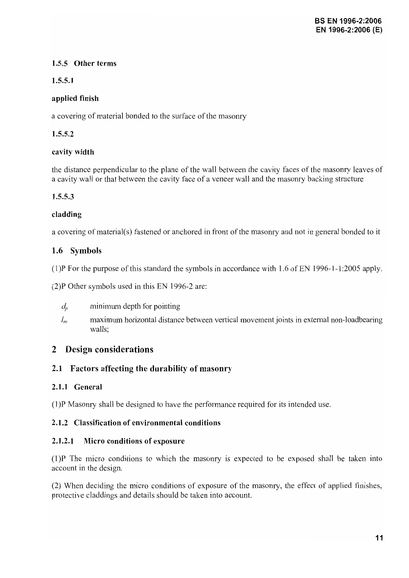## **1.5.5 Other terms**

## **1.5.5.1**

## **applied finish**

a covering of material bonded to the surface of the masonry

## **1.5.5.2**

#### **cavity width**

the distance perpendicular to the plane of the wall between the cavity faces of the masonry leaves of a cavity wall or that between the cavity face of a veneer wall and the masonry backing structure

#### **1.5.5.3**

#### **cladding**

a covering of material(s) fastened or anchored in front of the masonry and not in general bonded to it

## **1.6 Symbols**

(1)P For the purpose of this standard the symbols in accordance with  $1.6$  of EN 1996-1-1:2005 apply.

 $(2)$ P Other symbols used in this EN 1996-2 are:

- $d_p$  minimum depth for pointing
- $l_m$  maximum horizontal distance between vertical movement joints in external non-loadbearing walls;

## **2 Design considerations**

## **2.1 Factors affecting the durability of masonry**

## **2.1.1 General**

(I)P Masonry shall be designed to have the performance required for its intended use.

## **2.1.2 Classification of environmental conditions**

## **2.1.2.1 Micro conditions of exposure**

 $(1)$ P The micro conditions to which the masonry is expected to be exposed shall be taken into account in the design.

(2) When deciding the micro conditions of exposure of the masonry, the effect of applied finishes, protective claddings and details should be taken into account.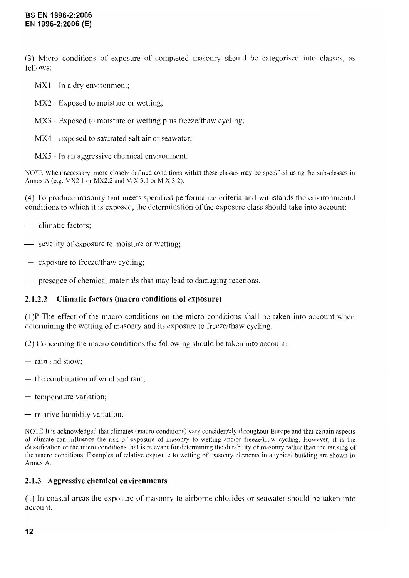(3) Micro conditions of exposure of completed masonry should be categorised into classes, as follows:

- MX1 In a dry environment;
- $MX2$  Exposed to moisture or wetting;
- MX3 Exposed to moisture or wetting plus freeze/thaw cycling;
- MX4 Exposed to saturated salt air or seawater;
- MX5 In an aggressive chemical environment.

NOTE When necessary, more closely defined conditions within these classes may be specified using the sub-classes in Annex A (e.g. MX2.1 or MX2.2 and M X 3.1 or M X 3.2).

(4) To produce masonry that meets specified performance criteria and withstands the environmental conditions to which it is exposed, the detennination of the exposure class should take into account:

- climatic factors:
- $\equiv$  severity of exposure to moisture or wetting;
- exposure to freeze/thaw cycling;
- presence of chemical materials that may lead to damaging reactions.

#### 2.1.2.2 Climatic factors (macro conditions of exposure)

(1)P The effect of the macro conditions on the micro conditions shall be taken into account when determining the wetting of masonry and its exposure to freeze/thaw cycling.

(2) Concerning the macro conditions the following should be taken into account:

- $-$  rain and snow:
- $-$  the combination of wind and rain;
- temperature variation;
- $-$  relative humidity variation.

NOTE It is acknowledged that climates (macro conditions) vary considerably throughout Europe and that certain aspects of climate can influence the risk of exposure of masonry to wetting and/or freeze/thaw cycling. However, it is the classification of the micro conditions that is relevant for determining the durability of masonry rather than the ranking of the macro conditions. Examples of relative exposure to wetting of masonry elements in a typical building are shown in Annex A.

#### 2.1.3 Aggressive chemical environments

(1) In coastal areas the exposure of masonry to airborne chlorides or seawater should be taken into account.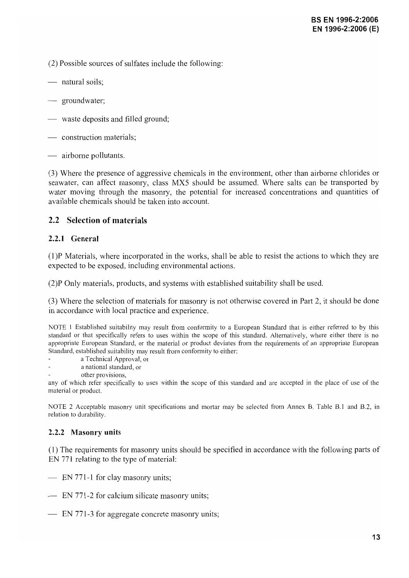(2) Possible sources of sulfates include the following:

- natural soils;
- groundwater;
- waste deposits and filled ground;
- construction materials:
- airborne pollutants.

(3) Where the presence of aggressive chemicals in the environment, other than airborne chlorides or seawater, can affect masonry, class MX5 should be assumed. Where salts can be transported by water moving through the masonry, the potential for increased concentrations and quantities of available chemicals should be taken into account.

## 2.2 Selection of materials

#### 2.2.1 General

(l)P Materials, where incorporated in the works, shall be able to resist the actions to which they are expected to be exposed, including environmental actions.

(2)P Only materials, products, and systems with established suitability shall be used.

(3) Where the selection of materials for masonry is not otherwise covered in Part 2, it should be done in accordance with local practice and experience.

NOTE 1 Established suitability may result from confonnity to a European Standard that is either referred to by this standard or that specifically refers to uses within the scope of this standard. Alternatively, where either there is no appropriate European Standard, or the material or product deviates from the requirements of an appropriate European Standard, established suitability may result from conformity to either:

- a Technical Approval, or
- a national standard, or
- other provisions,

any of which refer specifically to uses within the scope of this standard and are accepted in the place of use of the material or product.

NOTE 2 Acceptable masonry unit specifications and mortar may be selected from Annex B, Table B.1 and B.2, in relation to durability.

#### 2.2.2 Masonry units

(1) The requirements for masonry units should be specified in accordance with the following parts of EN 771 relating to the type of material:

- $\equiv$  EN 771-1 for clay masonry units;
- $\equiv$  EN 771-2 for calcium silicate masonry units;
- EN 771-3 for aggregate concrete masonry units;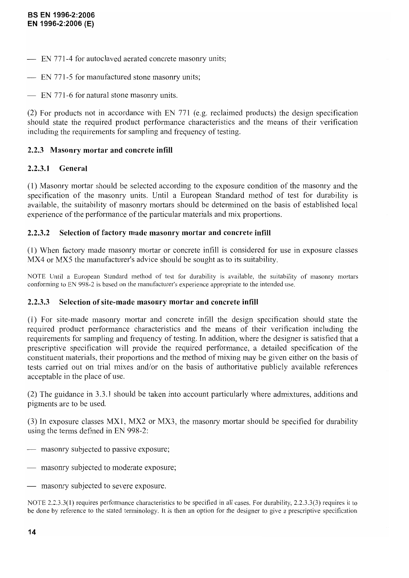- EN 771-4 for autoclaved aerated concrete masonry units;
- $\equiv$  EN 771-5 for manufactured stone masonry units;

- EN 771-6 for natural stone masonry units.

(2) For products not in accordance with 771 (e.g. reclaimed products) the design specification should state the required product performance characteristics and the means of their verification including the requirements for sampling and frequency of testing.

#### **2.2.3 Masonry mortar and concrete infill**

#### **2.2.3.1 General**

(1) Masonry mortar should be selected according to the exposure condition of the masonry and the specification of the masonry units. Until a European Standard method of test for durability is available, the suitability of masonry mortars should be determined on the basis of established local experience of the performance of the particular materials and mix proportions.

#### **2.2.3.2 Selection of factory made masonry mortar and concrete infill**

(1) When factory made masonry mortar or concrete infill is considered for use in exposure classes MX4 or MX5 the manufacturer's advice should be sought as to its suitability.

NOTE Until a European Standard method of test for durability is available, the suitability of masonry mortars conforming to EN 998-2 is based on the manufacturer's experience appropriate to the intended use.

#### **2.2.3.3 Selection of site-made masonry mortar and concrete infill**

(1) For site-made masonry mortar and concrete infill the design specification should state the required product performance characteristics and the means of their verification including the requirements for sampling and frequency of testing. In addition, where the designer is satisfied that a prescriptive specification will provide the required performance, a detailed specification of the constituent materials, their proportions and the method of mixing may be given either on the basis of tests carried out on trial mixes and/or on the basis of authoritative publicly available references acceptable in the place of use.

(2) The guidance in 3.3.1 should be taken into account particularly where admixtures, additions and pigments are to be used.

 $(3)$  In exposure classes MX1, MX2 or MX3, the masonry mortar should be specified for durability using the terms defined in EN 998-2:

- $-$  masonry subjected to passive exposure;
- masonry subjected to moderate exposure;
- masonry subjected to severe exposure.

NOTE 2.2.3.3(1) requires performance characteristics to be specified in all cases. For durability, 2.2.3.3(3) requires it to be done by reference to the stated terminology. It is then an option for the designer to give a prescriptive specification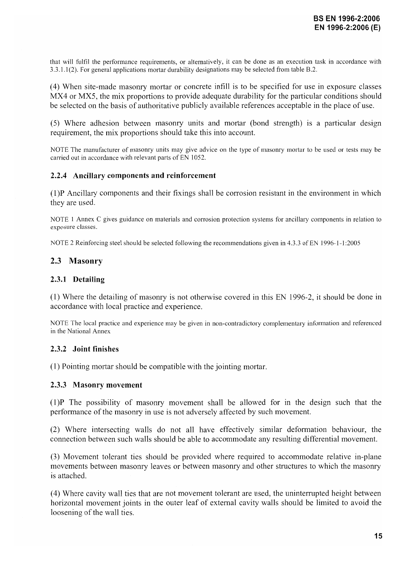that will fulfil the performance requirements, or alternatively, it can be done as an execution task in accordance with 3.3.1.1(2). For general applications mortar durability designations may be selected from table B.2.

(4) When site-made masonry mortar or concrete infill is to be specified for use in exposure classes MX4 or MX5, the mix proportions to provide adequate durability for the particular conditions should be selected on the basis of authoritative publicly available references acceptable in the place of use.

(5) Where adhesion between masonry units and mortar (bond strength) is a particular design requirement, the mix proportions should take this into account.

NOTE The manufacturer of masonry units may give advice on the type of masonry mortar to be used or tests may be carried out in accordance with relevant parts of EN 1052.

#### 2.2.4 Ancillary components and reinforcement

(1)P Ancillary components and their fixings shall be corrosion resistant in the environment in which they are used.

NOTE 1 Annex C gives guidance on materials and corrosion protection systems for ancillary components in relation to exposure classes.

NOTE 2 Reinforcing steel should be selected following the recommendations given in 4.3.3 of EN 1996-1-1 :2005

## 2.3 Masonry

#### 2.3.1 Detailing

 $(1)$  Where the detailing of masonry is not otherwise covered in this EN 1996-2, it should be done in accordance with local practice and experience.

NOTE The local practice and experience may be given in non-contradictory complementary information and referenced in the National Annex

#### 2.3.2 Joint finishes

 $(1)$  Pointing mortar should be compatible with the jointing mortar.

#### 2.3.3 Masonry movement

(l)P The possibility of masonry movement shall be allowed for in the design such that the performance of the masonry in use is not adversely affected by such movement.

(2) Where intersecting walls do not all have effectively similar deformation behaviour, the connection between such walls should be able to accommodate any resulting differential movement.

(3) Movement tolerant ties should be provided where required to accommodate relative in-plane movements between masonry leaves or between masonry and other structures to which the masonry is attached.

(4) Where cavity wall ties that are not movement tolerant are used, the uninterrupted height between horizontal movement joints in the outer leaf of external cavity walls should be limited to avoid the loosening of the wall ties.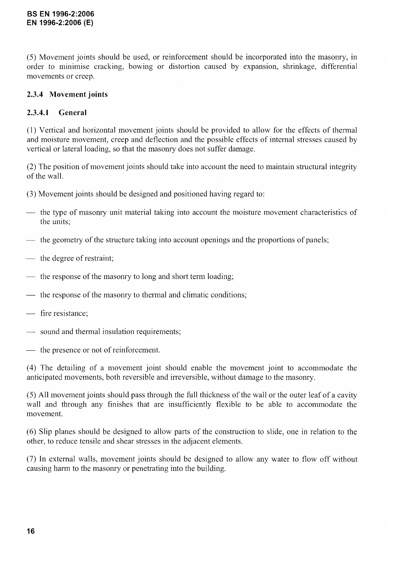(5) Movement joints should be used, or reinforcement should be incorporated into the masonry, in order to minimise cracking, bowing or distortion caused by expansion, shrinkage, differential movements or creep.

## **2.3.4 Movement joints**

## **2.3.4.1 General**

(1) Vertical and horizontal movement joints should be provided to allow for the effects of thermal and moisture movement, creep and deflection and the possible effects of internal stresses caused by vertical or lateral loading, so that the masonry does not suffer damage.

 $(2)$  The position of movement joints should take into account the need to maintain structural integrity of the wall.

 $(3)$  Movement joints should be designed and positioned having regard to:

- the type of masonry unit material taking into account the moisture movement characteristics of the units;
- $\overline{a}$  the geometry of the structure taking into account openings and the proportions of panels;
- the degree of restraint;
- $\frac{1}{\sqrt{1-\frac{1}{\sqrt{1-\frac{1}{\sqrt{1-\frac{1}{\sqrt{1-\frac{1}{\sqrt{1-\frac{1}{\sqrt{1-\frac{1}{\sqrt{1-\frac{1}{\sqrt{1-\frac{1}{\sqrt{1-\frac{1}{\sqrt{1-\frac{1}{\sqrt{1-\frac{1}{\sqrt{1-\frac{1}{\sqrt{1-\frac{1}{\sqrt{1-\frac{1}{\sqrt{1-\frac{1}{\sqrt{1-\frac{1}{\sqrt{1-\frac{1}{\sqrt{1-\frac{1}{\sqrt{1-\frac{1}{\sqrt{1-\frac{1}{\sqrt{1-\frac{1}{\sqrt{1-\frac{1}{\sqrt{1-\frac{1}{\sqrt{1-\frac{1$
- the response of the masonry to thermal and climatic conditions;
- fire resistance;
- $\sim$  sound and thermal insulation requirements;
- $\frac{1}{\sqrt{1-\frac{1}{\sqrt{1-\frac{1}{\sqrt{1-\frac{1}{\sqrt{1-\frac{1}{\sqrt{1-\frac{1}{\sqrt{1-\frac{1}{\sqrt{1-\frac{1}{\sqrt{1-\frac{1}{\sqrt{1-\frac{1}{\sqrt{1-\frac{1}{\sqrt{1-\frac{1}{\sqrt{1-\frac{1}{\sqrt{1-\frac{1}{\sqrt{1-\frac{1}{\sqrt{1-\frac{1}{\sqrt{1-\frac{1}{\sqrt{1-\frac{1}{\sqrt{1-\frac{1}{\sqrt{1-\frac{1}{\sqrt{1-\frac{1}{\sqrt{1-\frac{1}{\sqrt{1-\frac{1}{\sqrt{1-\frac{1}{\sqrt{1-\frac{1}{$

 $(4)$  The detailing of a movement joint should enable the movement joint to accommodate the anticipated movements, both reversible and irreversible, without damage to the masonry.

(5) All movement joints should pass through the full thickness of the wall or the outer leaf of a cavity wall and through any finishes that are insufficiently flexible to be able to accommodate the movement.

(6) Slip planes should be designed to allow parts of the construction to slide, one in relation to the other, to reduce tensile and shear stresses in the adjacent elements.

(7) In external walls, movement joints should be designed to allow any water to flow off without causing harm to the masonry or penetrating into the building.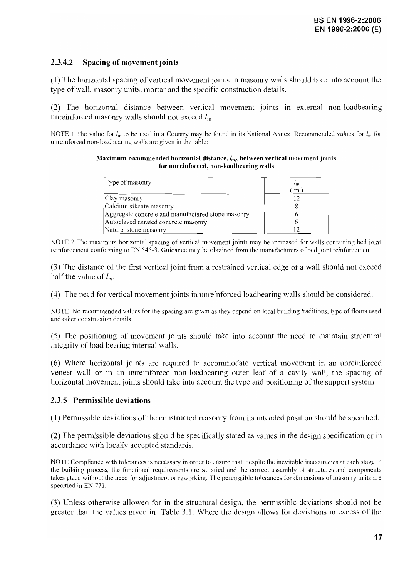#### 2.3.4.2 Spacing of movement joints

(1) The horizontal spacing of vertical movement joints in masonry walls should take into account the type of wall, masonry units, mortar and the specific construction details.

(2) The horizontal distance between vertical movement joints in external non-Ioadbearing unreinforced masonry walls should not exceed  $l_{\rm m}$ .

NOTE 1 The value for *lm* to be used in a Country may be found in its National Annex. Recommended values for *1m* for unreinforced non-loadbearing walls are given in the table:

#### Maximum recommended horizontal distance,  $I_{m,s}$  between vertical movement joints for unreinforced, non-loadbearing walls

| Type of masonry                                   | $\iota_{m}$ |
|---------------------------------------------------|-------------|
|                                                   | m           |
| Clay masonry                                      | 12          |
| Calcium silicate masonry                          |             |
| Aggregate concrete and manufactured stone masonry |             |
| Autoclaved aerated concrete masonry               |             |
| Natural stone masonry                             | 12          |

NOTE 2 The maximum horizontal spacing of vertical movement joints may be increased for walls containing bed joint reinforcement conforming to EN 845-3. Guidance may be obtained from the manufacturers of bed joint reinforcement

(3) The distance of the first vertical joint from a restrained vertical edge of a wall should not exceed half the value of *1m.* 

(4) The need for vertical movement joints in unreinforced loadbearing walls should be considered.

NOTE No recommended values for the spacing are given as they depend on local building traditions, type of floors used and other construction details.

 $(5)$  The positioning of movement joints should take into account the need to maintain structural integrity of load bearing internal walls.

(6) Where horizontal joints are required to accommodate vertical movement in an unreinforced veneer wall or in an unreinforced non-Ioadbearing outer leaf of a cavity wall, the spacing of horizontal movement joints should take into account the type and positioning of the support system.

#### 2.3.5 Permissible deviations

(1) Permissible deviations of the constructed masonry from its intended position should be specified.

(2) The permissible deviations should be specifically stated as values in the design specification or in accordance with locally accepted standards.

NOTE Compliance with tolerances is necessary in order to ensure that, despite the inevitable inaccuracies at each stage in the building process, the functional requirements are satisfied and the correct assembly of structures and components takes place without the need for adjustment or reworking. The permissible tolerances for dimensions of masonry units are specified in EN 771.

(3) Unless otherwise allowed for in the structural design, the pernlissible deviations should not be greater than the values given in Table 3.1. Where the design allows for deviations in excess of the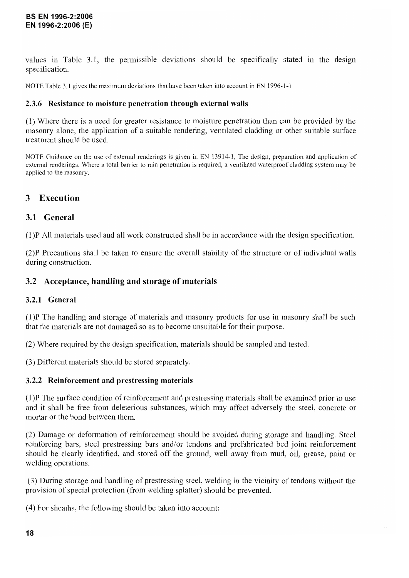values in Table 3.1, the permissible deviations should be specifically stated in the design specification.

NOTE Table 3.1 gives the maximum deviations that have been taken into account in EN 1996-1-1

#### **2.3.6 Resistance to moisture penetration through external walls**

(1) Where there is a need for greater resistance to moisture penetration than can be provided by the masonry alone, the application of a suitable rendering, ventilated cladding or other suitable surface treatment should be used.

NOTE Guidance on the use of external renderings is given in EN 13914-1, The design, preparation and application of external renderings. Where a total barrier to rain penetration is required, a ventilated waterproof cladding system may be applied to the masonry.

## 3 Execution

#### **3.1 General**

(l)P All Inaterials used and all work constructed shall be in accordance with the design specification.

(2)P Precautions shaJ1 be taken to ensure the overall stability of the structure or of individual walls during construction.

#### 3.2 **Acceptance, handling and storage of materials**

#### **3.2.1 General**

(1)P The handling and storage of materials and masonry products for use in masonry shall be such that the materials are not damaged so as to become unsuitable for their purpose.

(2) Where required by the design specification, materials should be sampled and tested.

(3) Different materials should be stored separately.

#### 3.2.2 Reinforcement **and prestressing materials**

(l)P The surface condition of reinforcement and prestressing materials shall be examined prior to use and it shall be free from deleterious substances, which may affect adversely the steel, concrete or mortar or the bond between them.

(2) Dmnage or defonnation of reinforcement should be avoided during storage and handling. Steel reinforcing bars, steel prestressing bars and/or tendons and prefabricated bed joint reinforcement should be clearly identified, and stored off the ground, well away from mud, oil, grease, paint or welding operations.

(3) During storage and handling of prestressing steel, welding in the vicinity of tendons without the provision of special protection (from welding splatter) should be prevented.

(4) For sheaths, the following should be taken into account: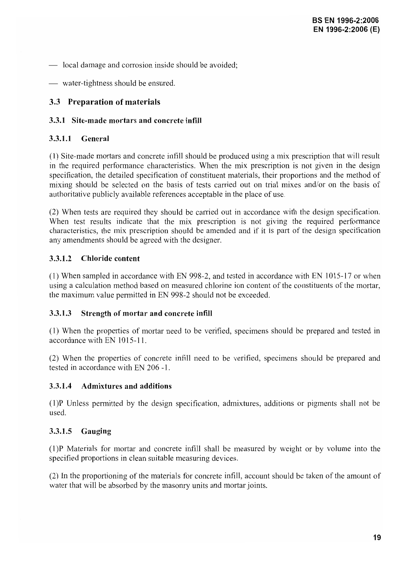$\sim$  local damage and corrosion inside should be avoided;

water-tightness should be ensured.

## 3.3 Preparation of materials

#### 3.3.1 Site-made mortars and concrete infill

#### 3.3.1.1 General

(1) Site-made mortars and concrete infill should be produced using a nlix prescription that will result in the required performance characteristics. When the mix prescription is not given in the design specification, the detailed specification of constituent materials, their proportions and the method of mixing should be selected on the basis of tests carried out on trial mixes and/or on the basis of authoritative publicly available references acceptable in the place of use.

(2) When tests are required they should be carried out in accordance with the design specification. When test results indicate that the mix prescription is not giving the required performance characteristics, the mix prescription should be amended and if it is part of the design specification any amendments should be agreed with the designer.

## 3.3.1.2 Chloride content

(1) When sampled in accordance with EN 998-2, and tested in accordance with EN 1015-17 or when using a calculation method based on measured chlorine ion content of the constituents of the mortar, the maximum value permitted in EN 998-2 should not be exceeded.

#### 3.3.1.3 Strength of mortar and concrete in fill

(1) When the properties of mortar need to be verified, specimens should be prepared and tested in accordance with EN 1015-11.

(2) When the properties of concrete infill need to be verified, specimens should be prepared and tested in accordance with EN 206 -1.

#### 3.3.1.4 Admixtures and additions

 $(1)$ P Unless permitted by the design specification, admixtures, additions or pigments shall not be used.

## 3.3.1.5 Gauging

 $(1)$ P Materials for mortar and concrete infill shall be measured by weight or by volume into the specified proportions in clean suitable measuring devices.

(2) In the proportioning of the materials for concrete infill, account should be taken of the amount of water that will be absorbed by the masonry units and mortar joints.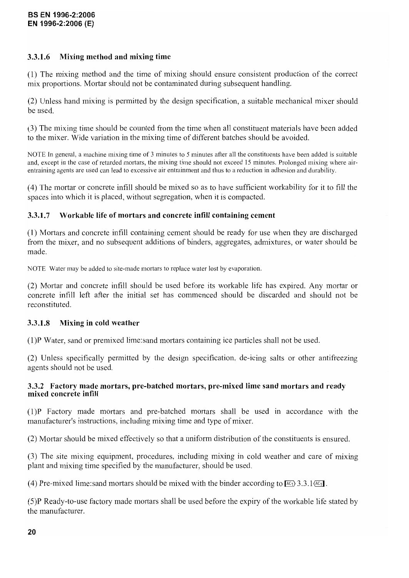## 3.3.1.6 Mixing method and mixing time

 $(1)$  The mixing method and the time of mixing should ensure consistent production of the correct mix proportions. Mortar should not be contaminated during subsequent handling.

(2) Unless hand mixing is permitted by the design specification, a suitable mechanical mixer should be used.

(3) The mixing time should be counted from the time when all constituent materials have been added to the mixer. Wide variation in the mixing time of different batches should be avoided.

NOTE In general, a machine mixing time of 3 minutes to 5 minutes after all the constituents have been added is suitable and, except in the case of retarded mortars, the mixing time should not exceed 15 minutes. Prolonged mixing where airentraining agents are used can lead to excessive air entrainment and thus to a reduction in adhesion and durability.

(4) The mortar or concrete infill should be mixed so as to have sufficient workability for it to fill the spaces into which it is placed, without segregation, when it is compacted.

## 3.3.1.7 Workable life of mortars and concrete infill containing cement

(1) Mortars and concrete infill containing cement should be ready for use when they are discharged from the lnixer, and no subsequent additions of binders, aggregates, admixtures, or water should be made.

NOTE Water may be added to site-made mortars to replace water lost by evaporation.

(2) Mortar and concrete infill should be used before its workable life has expired. Any mortar or concrete infill left after the initial set has commenced should be discarded and should not be reconstituted.

## 3.3.1.8 Mixing in cold weather

(1)P Water, sand or premixed lime: sand mortars containing ice particles shall not be used.

(2) Unless specifically permitted by the design specification, de-icing salts or other antifreezing agents should not be used.

#### 3.3.2 Factory made mortars, pre-batched mortars, pre-mixed lime sand mortars and ready mixed concrete infiH

 $(1)$ P Factory made mortars and pre-batched mortars shall be used in accordance with the manufacturer's instructions, including mixing time and type of mixer.

(2) Mortar should be mixed effectively so that a uniform distribution of the constituents is ensured.

 $(3)$  The site mixing equipment, procedures, including mixing in cold weather and care of mixing plant and mixing time specified by the manufacturer, should be used.

(4) Pre-mixed lime:sand mortars should be mixed with the binder according to  $\sqrt{AC_1}$ .

 $(5)P$  Ready-to-use factory made mortars shall be used before the expiry of the workable life stated by the manufacturer.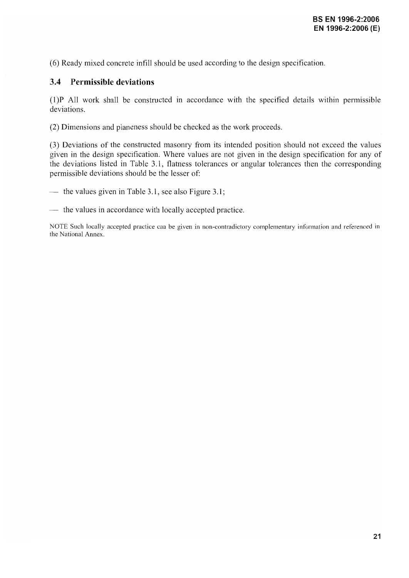(6) Ready mixed concrete infill should be used according to the design specification.

#### 3.4 **Permissible deviations**

 $(1)P$  All work shall be constructed in accordance with the specified details within permissible deviations.

(2) Dimensions and planeness should be checked as the work proceeds.

(3) Deviations of the constructed masonry from its intended position should not exceed the values given in the design specification. Where values are not given in the design specification for any of the deviations listed in Table 3.1, flatness tolerances or angular tolerances then the corresponding permissible deviations should be the lesser of:

 $\frac{1}{\sqrt{1-\frac{1}{\sqrt{1-\frac{1}{\sqrt{1-\frac{1}{\sqrt{1-\frac{1}{\sqrt{1-\frac{1}{\sqrt{1-\frac{1}{\sqrt{1-\frac{1}{\sqrt{1-\frac{1}{\sqrt{1-\frac{1}{\sqrt{1-\frac{1}{\sqrt{1-\frac{1}{\sqrt{1-\frac{1}{\sqrt{1-\frac{1}{\sqrt{1-\frac{1}{\sqrt{1-\frac{1}{\sqrt{1-\frac{1}{\sqrt{1-\frac{1}{\sqrt{1-\frac{1}{\sqrt{1-\frac{1}{\sqrt{1-\frac{1}{\sqrt{1-\frac{1}{\sqrt{1-\frac{1}{\sqrt{1-\frac{1}{\sqrt{1-\frac{1$ 

 $\frac{1}{\sqrt{1-\frac{1}{\sqrt{1-\frac{1}{\sqrt{1-\frac{1}{\sqrt{1-\frac{1}{\sqrt{1-\frac{1}{\sqrt{1-\frac{1}{\sqrt{1-\frac{1}{\sqrt{1-\frac{1}{\sqrt{1-\frac{1}{\sqrt{1-\frac{1}{\sqrt{1-\frac{1}{\sqrt{1-\frac{1}{\sqrt{1-\frac{1}{\sqrt{1-\frac{1}{\sqrt{1-\frac{1}{\sqrt{1-\frac{1}{\sqrt{1-\frac{1}{\sqrt{1-\frac{1}{\sqrt{1-\frac{1}{\sqrt{1-\frac{1}{\sqrt{1-\frac{1}{\sqrt{1-\frac{1}{\sqrt{1-\frac{1}{\sqrt{1-\frac{1}{$ 

NOTE Such locally accepted practice can be given in non-contradictory complementary information and referenced in the National Annex.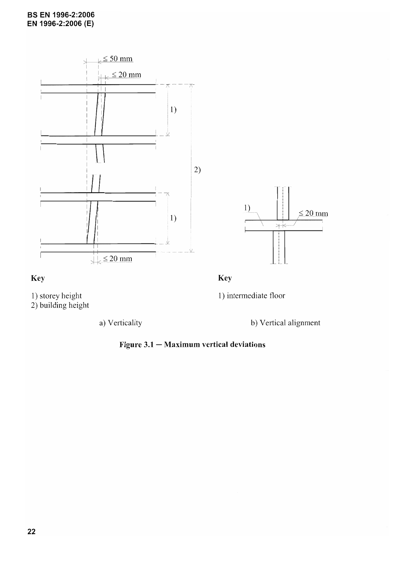

## Key

1) storey height

2) building height

a) Verticality

1) intermediate floor

b) Vertical alignment

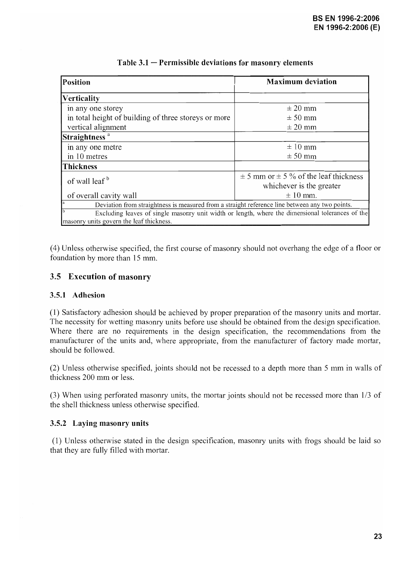| Position                                                                                         | <b>Maximum deviation</b>                      |  |  |  |  |  |
|--------------------------------------------------------------------------------------------------|-----------------------------------------------|--|--|--|--|--|
| Verticality                                                                                      |                                               |  |  |  |  |  |
| in any one storey                                                                                | $\pm 20$ mm                                   |  |  |  |  |  |
| in total height of building of three storeys or more                                             | $\pm 50$ mm                                   |  |  |  |  |  |
| vertical alignment                                                                               | $\pm 20$ mm                                   |  |  |  |  |  |
| Straightness <sup>a</sup>                                                                        |                                               |  |  |  |  |  |
| in any one metre                                                                                 | $\pm 10$ mm                                   |  |  |  |  |  |
| in 10 metres                                                                                     | $\pm 50$ mm                                   |  |  |  |  |  |
| <b>Thickness</b>                                                                                 |                                               |  |  |  |  |  |
| of wall leaf b                                                                                   | $\pm$ 5 mm or $\pm$ 5 % of the leaf thickness |  |  |  |  |  |
|                                                                                                  | whichever is the greater                      |  |  |  |  |  |
| of overall cavity wall                                                                           | $\pm 10$ mm.                                  |  |  |  |  |  |
| Deviation from straightness is measured from a straight reference line between any two points.   |                                               |  |  |  |  |  |
| Excluding leaves of single masonry unit width or length, where the dimensional tolerances of the |                                               |  |  |  |  |  |
| masonry units govern the leaf thickness.                                                         |                                               |  |  |  |  |  |

#### Table  $3.1$  – Permissible deviations for masonry elements

(4) Unless otherwise specified, the first course of masonry should not overhang the edge of a floor or foundation by more than 15 mm.

#### 3.5 Execution of masonry

#### 3.5.1 Adhesion

(1) Satisfactory adhesion should be achieved by proper preparation of the masonry units and mortar. The necessity for wetting masonry units before use should be obtained from the design specification. Where there are no requirements in the design specification, the recommendations from the manufacturer of the units and, where appropriate, from the manufacturer of factory made mortar, should be followed.

(2) Unless otherwise specified, joints should not be recessed to a depth more than 5 mm in walls of thickness 200 mm or less.

(3) When using perforated masonry units, the mortar joints should not be recessed more than  $1/3$  of the shell thickness unless otherwise specified.

#### 3.5.2 Laying masonry units

(l) Unless otherwise stated in the design specification, masonry units with frogs should be laid so that they are fully filled with mortar.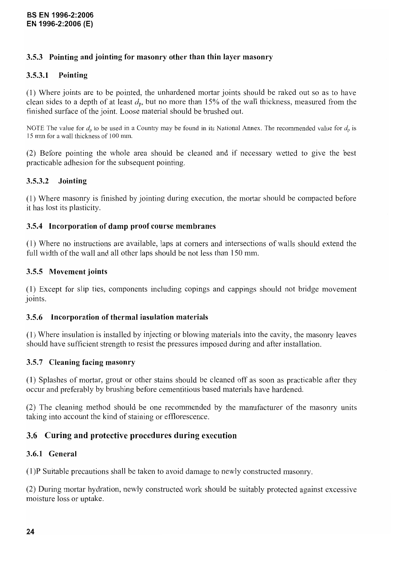## **3.5.3 Pointing and jointing for masonry other than thin layer masonry**

## **3.5.3.1 Pointing**

(1) Where joints are to be pointed, the unhardened mortar joints should be raked out so as to have clean sides to a depth of at least  $d_p$ , but no more than 15% of the wall thickness, measured from the finished surface of the joint. Loose material should be brushed out.

NOTE The value for  $d_p$  to be used in a Country may be found in its National Annex. The recommended value for  $d_p$  is 15 mm for a wall thickness of 100 mm.

(2) Before pointing the whole area should be cleaned and if necessary \vetted to give the best practicable adhesion for the subsequent pointing.

## **3.5.3.2 Jointing**

(1) Where masonry is finished by jointing during execution, the mortar should be compacted before it has lost its plasticity.

## **3.5.4 Incorporation of damp proof course membranes**

 $(1)$  Where no instructions are available, laps at corners and intersections of walls should extend the full width of the wall and all other laps should be not less than 150 mm.

#### **3.5.5 Movement joints**

 $(1)$  Except for slip ties, components including copings and cappings should not bridge movement joints.

#### **3.5.6 Incorporation of thermal insulation materials**

 $(1)$  Where insulation is installed by injecting or blowing materials into the cavity, the masonry leaves should have sufficient strength to resist the pressures imposed during and after installation.

## **3.5.7 Cleaning facing masonry**

(1) Splashes of mortar, grout or other stains should be cleaned off as soon as practicable after they occur and preferably by brushing before cementitious based materials have hardened.

 $(2)$  The cleaning method should be one recommended by the manufacturer of the masonry units taking into account the kind of staining or efflorescence.

## **3.6 Curing and protective procedures during execution**

## **3.6.1 General**

(l)P Suitable precautions shall be taken to avoid danlage to newly constructed masonry.

(2) During mortar hydration, newly constructed work should be suitably protected against excessive moisture loss or uptake.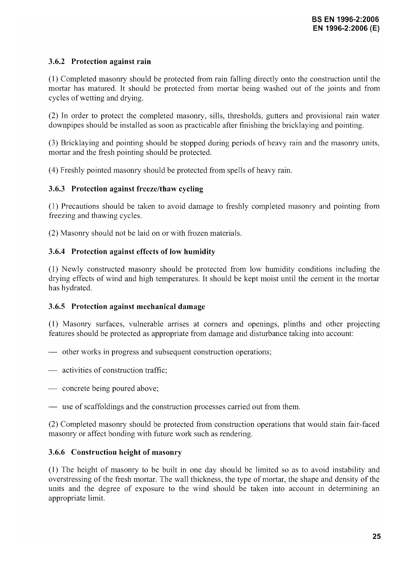## 3.6.2 Protection against rain

(1) Completed masonry should be protected from rain falling directly onto the construction until the mortar has matured. It should be protected from mortar being washed out of the joints and from cycles of wetting and drying.

(2) In order to protect the completed masonry, sills, thresholds, gutters and provisional rain water downpipes should be installed as soon as practicable after finishing the bricklaying and pointing.

(3) Bricklaying and pointing should be stopped during periods of heavy rain and the masonry units, mortar and the fresh pointing should be protected.

(4) Freshly pointed masonry should be protected from spells of heavy rain.

#### 3.6.3 Protection against freeze/thaw cycling

(1) Precautions should be taken to avoid damage to freshly completed lnasonry and pointing fronl freezing and thawing cycles.

(2) Masonry should not be laid on or with frozen materials.

#### 3.6.4 Protection against effects of low humidity

(1) Newly constructed masonry should be protected from low humidity conditions including the drying effects of wind and high temperatures. It should be kept moist until the cement in the mortar has hydrated.

#### 3.6.5 Protection against mechanical damage

(1) Masonry surfaces, vulnerable arrises at corners and openings, plinths and other projecting features should be protected as appropriate from damage and disturbance taking into account:

- other works in progress and subsequent construction operations;
- activities of construction traffic;
- concrete being poured above;
- use of scaffoldings and the construction processes carried out from them.

(2) Completed masonry should be protected from construction operations that would stain fair-faced masonry or affect bonding with future work such as rendering.

#### 3.6.6 Construction height of masonry

(1) The height of masonry to be built in one day should be limited so as to avoid instability and overstressing of the fresh mortar. The wall thickness, the type of mortar, the shape and density of the units and the degree of exposure to the wind should be taken into account in determining an appropriate limit.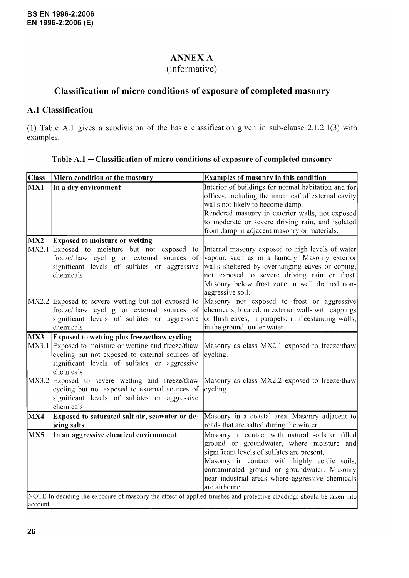## ANNEXA

(informative)

## Classification of micro conditions of exposure of completed masonry

## A.I Classification

(1) Table A.1 gives a subdivision of the basic classification given in sub-clause  $2.1.2.1(3)$  with examples.

| $\overline{\text{Class}}$ | Micro condition of the masonry                            | Examples of masonry in this condition                                                                                 |
|---------------------------|-----------------------------------------------------------|-----------------------------------------------------------------------------------------------------------------------|
| MX1                       | In a dry environment                                      | Interior of buildings for normal habitation and for                                                                   |
|                           |                                                           | offices, including the inner leaf of external cavity                                                                  |
|                           |                                                           | walls not likely to become damp.                                                                                      |
|                           |                                                           | Rendered masonry in exterior walls, not exposed                                                                       |
|                           |                                                           | to moderate or severe driving rain, and isolated                                                                      |
|                           |                                                           | from damp in adjacent masonry or materials.                                                                           |
| MX <sub>2</sub>           | <b>Exposed to moisture or wetting</b>                     |                                                                                                                       |
| MX2.1                     | Exposed to moisture but not exposed to                    | Internal masonry exposed to high levels of water                                                                      |
|                           | freeze/thaw cycling or external sources of                | vapour, such as in a laundry. Masonry exterior                                                                        |
|                           | significant levels of sulfates or aggressive<br>chemicals | walls sheltered by overhanging eaves or coping,                                                                       |
|                           |                                                           | not exposed to severe driving rain or frost.<br>Masonry below frost zone in well drained non-                         |
|                           |                                                           | aggressive soil.                                                                                                      |
|                           | MX2.2 Exposed to severe wetting but not exposed to        | Masonry not exposed to frost or aggressive                                                                            |
|                           | freeze/thaw cycling or external sources of                | chemicals, located: in exterior walls with cappings                                                                   |
|                           | significant levels of sulfates or aggressive              | or flush eaves; in parapets; in freestanding walls;                                                                   |
|                           | chemicals                                                 | in the ground; under water.                                                                                           |
| MX3                       | Exposed to wetting plus freeze/thaw cycling               |                                                                                                                       |
|                           | MX3.1 Exposed to moisture or wetting and freeze/thaw      | Masonry as class MX2.1 exposed to freeze/thaw                                                                         |
|                           | cycling but not exposed to external sources of            | cycling.                                                                                                              |
|                           | significant levels of sulfates or aggressive              |                                                                                                                       |
|                           | chemicals                                                 |                                                                                                                       |
| MX3.2                     | Exposed to severe wetting and freeze/thaw                 | Masonry as class MX2.2 exposed to freeze/thaw                                                                         |
|                           | cycling but not exposed to external sources of            | cycling.                                                                                                              |
|                           | significant levels of sulfates or aggressive              |                                                                                                                       |
|                           | chemicals                                                 |                                                                                                                       |
| MX4                       | Exposed to saturated salt air, seawater or de-            | Masonry in a coastal area. Masonry adjacent to                                                                        |
|                           | icing salts                                               | roads that are salted during the winter                                                                               |
| MX5                       | In an aggressive chemical environment                     | Masonry in contact with natural soils or filled                                                                       |
|                           |                                                           | ground or groundwater, where moisture and                                                                             |
|                           |                                                           | significant levels of sulfates are present.                                                                           |
|                           |                                                           | Masonry in contact with highly acidic soils,<br>contaminated ground or groundwater. Masonry                           |
|                           |                                                           | near industrial areas where aggressive chemicals                                                                      |
|                           |                                                           | are airborne.                                                                                                         |
|                           |                                                           | NOTE In deciding the exposure of masonry the effect of applied finishes and protective claddings should be taken into |
| account.                  |                                                           |                                                                                                                       |

| Table $A.1 - C$ lassification of micro conditions of exposure of completed masonry |  |  |  |  |
|------------------------------------------------------------------------------------|--|--|--|--|
|                                                                                    |  |  |  |  |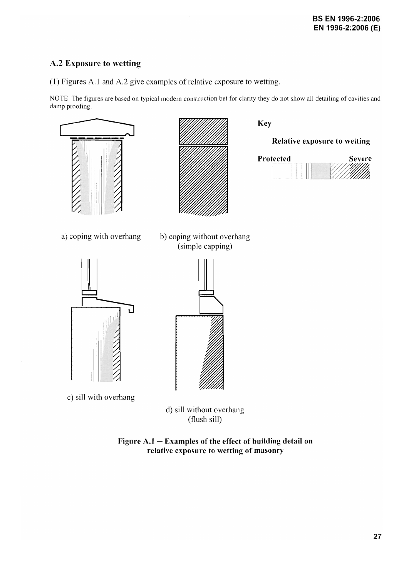## **A.2 Exposure to wetting**

(1) Figures A.1 and A.2 give examples of relative exposure to wetting.<br>
NOTE The figures are based on typical modern construction but for clarity they do relation proofing.<br>
<br> **Key Reference A.1** NOTE The figures are based on typical modern construction but for clarity they do not show all detailing of cavities and damp proofing.



a) coping with overhang









b) coping without overhang (simple capping)



d) sill without overhang (flush sill)

**Figure A.I - Examples of the effect of building detail on relative exposure to wetting of masonry**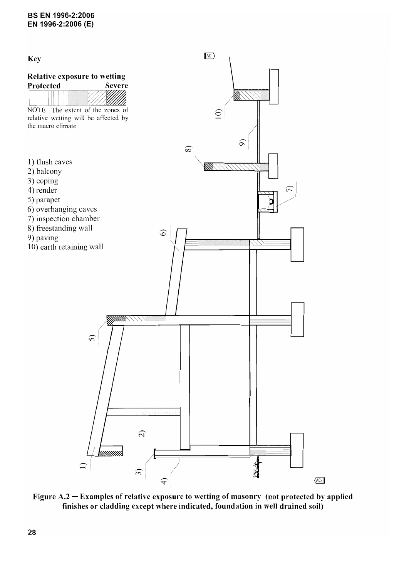#### **BS EN 1996-2:2006 EN 1996-2 :2006 (E)**



Figure A.2 – Examples of relative exposure to wetting of masonry (not protected by applied **finishes or cladding except where indicated, foundation in well drained soil)**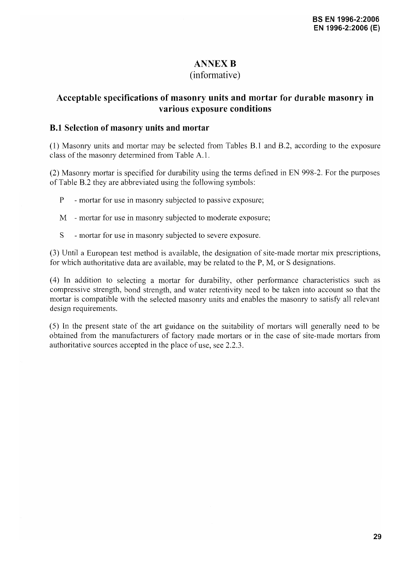## **ANNEX B**

## (informative)

## **Acceptable specifications of masonry units and mortar for durable masonry in various exposure conditions**

## **B.l Selection of masonry units and mortar**

(1) Masonry units and mortar may be selected from Tables B.1 and B.2, according to the exposure class of the masonry detennined from Table A.1.

(2) Masonry mortar is specified for durability using the terms defined in EN 998-2. For the purposes of Table B.2 they are abbreviated using the following symbols:

- P mortar for use in masonry subjected to passive exposure;
- M mortar for use in masonry subjected to moderate exposure;
- S mortar for use in masonry subjected to severe exposure.

(3) Until a European test method is available, the designation of site-made mortar mix prescriptions, for which authoritative data are available, may be related to the P, M, or S designations.

(4) In addition to selecting a mortar for durability, other perfonnance characteristics such as compressive strength, bond strength, and water retentivity need to be taken into account so that the mortar is compatible with the selected masonry units and enables the masonry to satisfy all relevant design requirements.

(5) In the present state of the art guidance on the suitability of mortars will generally need to be obtained from the manufacturers of factory made mortars or in the case of site-made mortars from authoritative sources accepted in the place of use, see 2.2.3.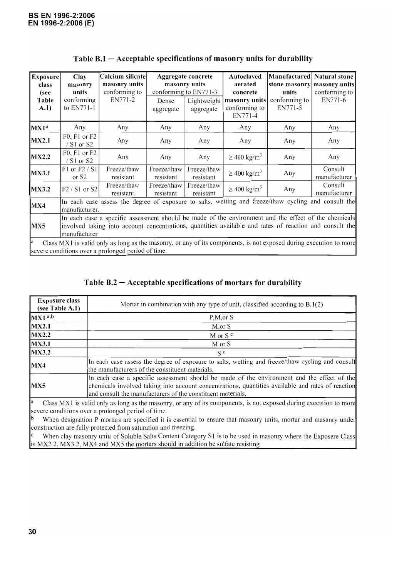| <b>Exposure</b><br>class<br>(see | Clay<br>masonry<br>units                                                                                                                                                                                                        | Calcium silicate<br>masonry units<br>conforming to                                                                                                                      |                          | Aggregate concrete<br>masonry units<br>conforming to EN771-3 | Autoclaved<br>aerated<br>concrete         | stone masonry<br>units   | Manufactured   Natural stone<br>masonry units<br>conforming to |
|----------------------------------|---------------------------------------------------------------------------------------------------------------------------------------------------------------------------------------------------------------------------------|-------------------------------------------------------------------------------------------------------------------------------------------------------------------------|--------------------------|--------------------------------------------------------------|-------------------------------------------|--------------------------|----------------------------------------------------------------|
| Table<br><b>A.1</b> )            | conforming<br>to EN771-1                                                                                                                                                                                                        | EN771-2                                                                                                                                                                 | Dense<br>aggregate       | Lightweight<br>aggregate                                     | masonry units<br>conforming to<br>EN771-4 | conforming to<br>EN771-5 | EN771-6                                                        |
| MX1 <sup>a</sup>                 | Any                                                                                                                                                                                                                             | Any                                                                                                                                                                     | Any                      | Any                                                          | Any                                       | Any                      | Any                                                            |
| MX2.1                            | F0, F1 or F2<br>$/$ S1 or S2                                                                                                                                                                                                    | Any                                                                                                                                                                     | Any                      | Any                                                          | Any                                       | Any                      | Any                                                            |
| <b>MX2.2</b>                     | F0, F1 or F2<br>/ S1 or S2                                                                                                                                                                                                      | Any                                                                                                                                                                     | Any                      | Any                                                          | $\geq 400 \text{ kg/m}^3$                 | Any                      | Any                                                            |
| <b>MX3.1</b>                     | F1 or F2 / S1<br>or S <sub>2</sub>                                                                                                                                                                                              | Freeze/thaw<br>resistant                                                                                                                                                | Freeze/thaw<br>resistant | Freeze/thaw<br>resistant                                     | $\geq 400 \text{ kg/m}^3$                 | Any                      | Consult<br>manufacturer                                        |
| <b>MX3.2</b>                     | F2 / S1 or S2                                                                                                                                                                                                                   | Freeze/thaw<br>resistant                                                                                                                                                | Freeze/thaw<br>resistant | Freeze/thaw<br>resistant                                     | $\geq 400 \text{ kg/m}^3$<br>Any          |                          | Consult<br>manufacturer                                        |
| MX4                              | manufacturer.                                                                                                                                                                                                                   | In each case assess the degree of exposure to salts, wetting and freeze/thaw cycling and consult the                                                                    |                          |                                                              |                                           |                          |                                                                |
| MX5                              | In each case a specific assessment should be made of the environment and the effect of the chemicals<br>involved taking into account concentrations, quantities available and rates of reaction and consult the<br>manufacturer |                                                                                                                                                                         |                          |                                                              |                                           |                          |                                                                |
| a                                |                                                                                                                                                                                                                                 | Class MX1 is valid only as long as the masonry, or any of its components, is not exposed during execution to more<br>severe conditions over a prolonged period of time. |                          |                                                              |                                           |                          |                                                                |

#### Table  $B.1 -$  Acceptable specifications of masonry units for durability

#### Table  $B.2 -$  Acceptable specifications of mortars for durability

| <b>Exposure class</b><br>(see Table $A.1$ ) | Mortar in combination with any type of unit, classified according to $B.1(2)$                                                                                                                                                                                  |
|---------------------------------------------|----------------------------------------------------------------------------------------------------------------------------------------------------------------------------------------------------------------------------------------------------------------|
| MX1 <sup>a,b</sup>                          | P,M,or S                                                                                                                                                                                                                                                       |
| MX2.1                                       | M,or S                                                                                                                                                                                                                                                         |
| MX2.2                                       | M or $S^c$                                                                                                                                                                                                                                                     |
| MX3.1                                       | M or S                                                                                                                                                                                                                                                         |
| MX3.2                                       | $S^c$                                                                                                                                                                                                                                                          |
| MX4                                         | In each case assess the degree of exposure to salts, wetting and freeze/thaw cycling and consult<br>the manufacturers of the constituent materials.                                                                                                            |
| MX5                                         | In each case a specific assessment should be made of the environment and the effect of the<br>chemicals involved taking into account concentrations, quantities available and rates of reaction<br>and consult the manufacturers of the constituent materials. |
| l a                                         | Class MV1 is valid only so lang as the messang or ony of its components is not expected during overwhen to meand                                                                                                                                               |

Class MX1 is valid only as long as the masonry, or any of its components, is not exposed during execution to more severe conditions over a prolonged period of time.<br>b When designation P mortars are specified it i

When designation P mortars are specified it is essential to ensure that masonry units, mortar and masonry under construction are fully protected from saturation and freezing.

When clay masonry units of Soluble Salts Content Category S1 is to be used in masonry where the Exposure Class is MX2.2, MX3.2, MX4 and MX5 the mortars should in addition be sulfate resisting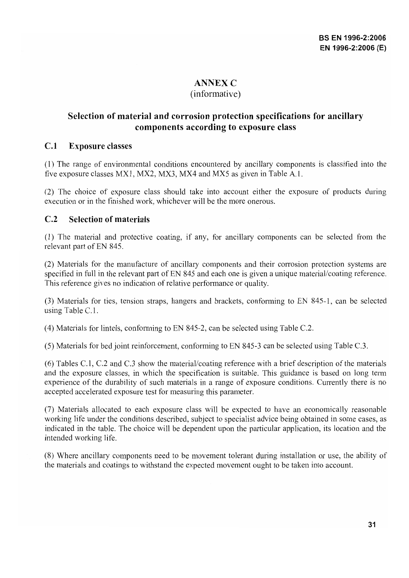## **ANNEX C**

## (informative)

## Selection of material and corrosion protection specifications for ancillary components according to exposure class

## C.J Exposure classes

(1) The range of environmental conditions encountered by ancillary components is classified into the five exposure classes MX l, MX2, MX3, MX4 and MX5 as given in Table A.1.

(2) The choice of exposure class should take into account either the exposure of products during execution or in the finished work, whichever will be the more onerous.

## C.2 Selection of materials

 $(1)$  The material and protective coating, if any, for ancillary components can be selected from the relevant part of EN 845.

(2) Materials for the manufacture of ancillary components and their corrosion protection systems are specified in full in the relevant part of EN 845 and each one is given a unique material/coating reference. This reference gives no indication of relative performance or quality.

(3) Materials for ties, tension straps, hangers and brackets, conforming to EN 845-1, can be selected using Table C.l.

(4) Materials for lintels, conforming to EN 845-2, can be selected using Table C.2.

(5) Materials for bed joint reinforcement, conforming to EN 845-3 can be selected using Table C.3.

 $(6)$  Tables C.1, C.2 and C.3 show the material/coating reference with a brief description of the materials and the exposure classes, in which the specification is suitable. This guidance is based on long term experience of the durability of such materials in a range of exposure conditions. Currently there is no accepted accelerated exposure test for measuring this parameter.

(7) Materials allocated to each exposure class will be expected to have an economically reasonable working life under the conditions described, subject to specialist advice being obtained in some cases, as indicated in the table. The choice will be dependent upon the particular application, its location and the intended working life.

(8) Where ancillary components need to be movement tolerant during installation or use, the ability of the materials and coatings to withstand the expected movement ought to be taken into account.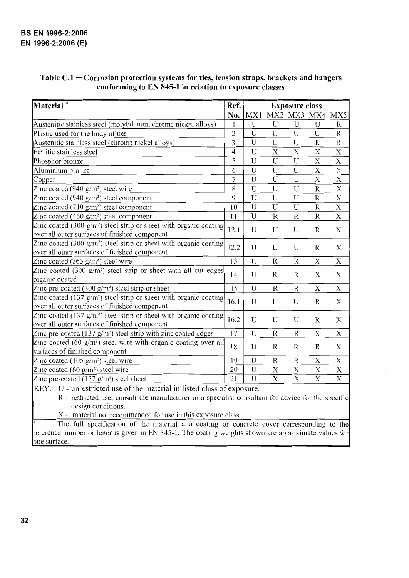#### Table C.1 – Corrosion protection systems for ties, tension straps, brackets and hangers **conforming to EN 845-1 in relation to exposure classes**

| Material <sup>a</sup>                                                                                                        | Ref.           | <b>Exposure class</b> |                         |                         |                         |                  |
|------------------------------------------------------------------------------------------------------------------------------|----------------|-----------------------|-------------------------|-------------------------|-------------------------|------------------|
|                                                                                                                              | No.            | MX1                   |                         | MX2 MX3 MX4 MX5         |                         |                  |
| Austenitic stainless steel (molybdenum chrome nickel alloys)                                                                 | 1              | U                     | U                       | U                       | U                       | R                |
| Plastic used for the body of ties                                                                                            | 2              | U                     | U                       | U                       | U                       | $\mathbb R$      |
| Austenitic stainless steel (chrome nickel alloys)                                                                            | 3              | U                     | U                       | U                       | $\mathbb R$             | ${\bf R}$        |
| Ferritic stainless steel                                                                                                     | 4              | U                     | $\overline{X}$          | $\mathbf X$             | $\overline{X}$          | X                |
| Phosphor bronze                                                                                                              | 5              | U                     | U                       | U                       | X                       | X                |
| Aluminium bronze                                                                                                             | 6              | U                     | U                       | U                       | $\overline{X}$          | $\mathbf X$      |
| Copper                                                                                                                       | $\overline{7}$ | U                     | U                       | U                       | $\mathbf X$             | $\mathbf X$      |
| Zinc coated (940 $g/m^2$ ) steel wire                                                                                        | 8              | U                     | U                       | U                       | $\mathbf R$             | $\mathbf X$      |
| Zinc coated (940 $g/m2$ ) steel component                                                                                    | 9              | U                     | U                       | U                       | $\mathsf{R}$            | $\mathbf X$      |
| Zinc coated $(710 \text{ g/m}^2)$ steel component                                                                            | 10             | U                     | $\mathbf U$             | U                       | ${\bf R}$               | $\mathbf X$      |
| Zinc coated $(460 \text{ g/m}^2)$ steel component                                                                            | 11             | U                     | $\mathsf{R}$            | $\mathbb{R}$            | $\mathbb{R}$            | X                |
| Zinc coated $(300 \text{ g/m}^2)$ steel strip or sheet with organic coating<br>over all outer surfaces of finished component | 12.1           | U                     | U                       | U                       | R                       | X                |
| Zinc coated (300 $g/m2$ ) steel strip or sheet with organic coating<br>over all outer surfaces of finished component         | 12.2           | U                     | U                       | U                       | $\mathbf R$             | X                |
| Zinc coated (265 $g/m2$ ) steel wire                                                                                         | 13             | U                     | $\mathbf R$             | $\mathbb{R}$            | X                       | X                |
| Zinc coated (300 g/m <sup>2</sup> ) steel strip or sheet with all cut edges<br>organic coated                                | 14             | $\mathbf U$           | $\mathbf R$             | $\mathbb{R}$            | X                       | X                |
| Zinc pre-coated $(300 \text{ g/m}^2)$ steel strip or sheet                                                                   | 15             | U                     | R                       | R                       | $\mathbf X$             | X                |
| Zinc coated (137 $g/m2$ ) steel strip or sheet with organic coating<br>over all outer surfaces of finished component         | 16.1           | U                     | U                       | U                       | $\mathbb{R}$            | X                |
| Zinc coated (137 $g/m2$ ) steel strip or sheet with organic coating<br>over all outer surfaces of finished component         | 16.2           | U                     | U                       | U                       | $\mathbb{R}$            | X                |
| Zinc pre-coated $(137 g/m2)$ steel strip with zinc coated edges                                                              | 17             | U                     | ${\bf R}$               | $\mathbb{R}$            | $\mathbf X$             | $\mathbf X$      |
| Zinc coated (60 $g/m^2$ ) steel wire with organic coating over all<br>surfaces of finished component                         | 18             | U                     | R                       | R                       | R                       | X                |
| Zinc coated (105 $g/m^2$ ) steel wire                                                                                        | 19             | U                     | $\mathbb{R}$            | $\mathbb{R}$            | X                       | $\boldsymbol{X}$ |
| Zinc coated $(60 \text{ g/m}^2)$ steel wire                                                                                  | 20             | U                     | X                       | X                       | $\mathbf X$             | Х                |
| Zinc pre-coated $(137 \text{ g/m}^2)$ steel sheet                                                                            | 21             | U                     | $\overline{\mathrm{x}}$ | $\overline{\mathrm{X}}$ | $\overline{\mathrm{x}}$ | $\mathbf X$      |
| EURY. If unnotwisted use of the meterial in listed class of eurogype                                                         |                |                       |                         |                         |                         |                  |

KEY: U - unrestricted use of the material **in** listed class of exposure.

R - restricted use; consult the manufacturer or a specialist consultant for advice for the specific design conditions.

X - material not recommended for use in this exposure class.

The full specification of the material and coating or concrete cover corresponding to the reference number or letter is given in EN 845-1. The coating weights shown are approximate values for one surface.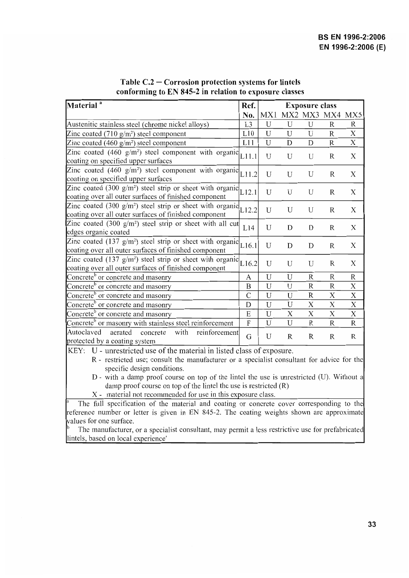| Material <sup>a</sup>                                                                                                                   | Ref.              | <b>Exposure class</b> |              |             |                           |                           |
|-----------------------------------------------------------------------------------------------------------------------------------------|-------------------|-----------------------|--------------|-------------|---------------------------|---------------------------|
|                                                                                                                                         | No.               | MX1                   |              |             | MX2 MX3 MX4 MX5           |                           |
| Austenitic stainless steel (chrome nickel alloys)                                                                                       | L <sub>3</sub>    | U                     | U            | U           | R                         | R                         |
| Zinc coated $(710 \text{ g/m}^2)$ steel component                                                                                       | L10               | U                     | U            | U           | R                         | X                         |
| Zinc coated (460 $g/m^2$ ) steel component                                                                                              | L11               | U                     | D            | D           | R                         | X                         |
| Zinc coated (460 $g/m2$ ) steel component with organic<br>coating on specified upper surfaces                                           | L11.1             | U                     | U            | U           | R                         | $\mathbf X$               |
| Zinc coated (460 g/m <sup>2</sup> ) steel component with organic $L11.2$<br>coating on specified upper surfaces                         |                   | U                     | U            | U           | R                         | $\boldsymbol{\mathrm{X}}$ |
| Zinc coated (300 g/m <sup>2</sup> ) steel strip or sheet with organic $L$ 12.1<br>coating over all outer surfaces of finished component |                   | U                     | U            | U           | $\mathbb{R}$              | X                         |
| Zinc coated (300 $g/m^2$ ) steel strip or sheet with organic<br>coating over all outer surfaces of finished component                   | L12.2             | U                     | U            | U           | $\mathbf R$               | X                         |
| Zinc coated $(300 \text{ g/m}^2)$ steel strip or sheet with all cut<br>edges organic coated                                             | L14               | U                     | D            | D           | R                         | X                         |
| Zinc coated (137 $g/m^2$ ) steel strip or sheet with organic<br>coating over all outer surfaces of finished component                   | L <sub>16.1</sub> | U                     | D            | D           | R                         | $\boldsymbol{\mathrm{X}}$ |
| Zinc coated (137 $g/m^2$ ) steel strip or sheet with organic<br>coating over all outer surfaces of finished component                   | L16.2             | U                     | U            | U           | R                         | X                         |
| Concrete <sup>b</sup> or concrete and masonry                                                                                           | A                 | U                     | U            | R           | R                         | R                         |
| Concrete <sup>b</sup> or concrete and masonry                                                                                           | B                 | U                     | U            | R           | R                         | X                         |
| Concrete <sup>b</sup> or concrete and masonry                                                                                           | $\overline{C}$    | U                     | U            | $\mathbb R$ | X                         | $\mathbf X$               |
| Concrete <sup>b</sup> or concrete and masonry                                                                                           | D                 | U                     | U            | X           | X                         | X                         |
| Concrete <sup>b</sup> or concrete and masonry                                                                                           | E                 | U                     | X            | $\mathbf X$ | $\boldsymbol{\mathrm{X}}$ | $\mathbf X$               |
| Concrete <sup>b</sup> or masonry with stainless steel reinforcement                                                                     | $\mathbf F$       | U                     | U            | R           | R                         | $\mathbf R$               |
| Autoclaved<br>aerated<br>with<br>reinforcement<br>concrete<br>protected by a coating system                                             | G                 | U                     | $\mathbb{R}$ | R           | $\mathbb{R}$              | R                         |

## **Table C.2 - Corrosion protection systems for lintels conforming to EN 845-2 in relation to exposure classes**

KEY: U - unrestricted use of the material in listed class of exposure.

R - restricted use; consult the manufacturer or a specialist consultant for advice for the specific design conditions.

D - with a damp proof course on top of the lintel the use is unrestricted (U). Without a damp proof course on top of the lintel the use is restricted (R)

X - material not recommended for use in this exposure class.

The full specification of the material and coating or concrete cover corresponding to the reference number or letter is given in EN 845-2. The coating weights shown are approximate values for one surface.

The manufacturer, or a specialist consultant, may permit a less restrictive use for prefabricated lintels, based on local experience'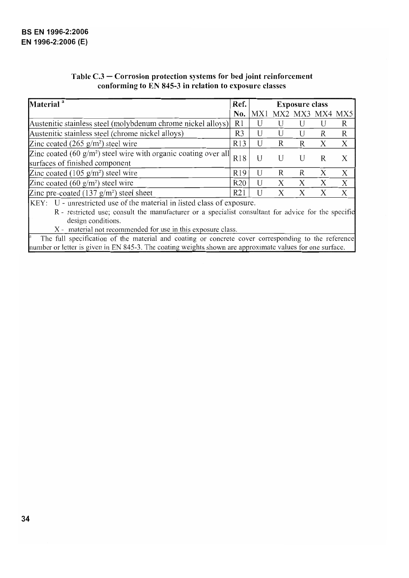#### **Table C.3 - Corrosion protection systems for bed joint reinforcement conforming to EN 845-3 in relation to exposure classes**

| Material <sup>a</sup><br>Ref.                                                                       |                 |     | <b>Exposure class</b> |    |                 |   |  |
|-----------------------------------------------------------------------------------------------------|-----------------|-----|-----------------------|----|-----------------|---|--|
|                                                                                                     | No.             | MX1 |                       |    | MX2 MX3 MX4 MX5 |   |  |
| Austenitic stainless steel (molybdenum chrome nickel alloys)                                        | R <sub>1</sub>  |     |                       |    |                 | R |  |
| Austenitic stainless steel (chrome nickel alloys)                                                   | R <sub>3</sub>  |     |                       | t. | R               | R |  |
| Zinc coated $(265 \text{ g/m}^2)$ steel wire                                                        | R13             |     | R                     | R  | Х               | X |  |
| Zinc coated (60 $g/m2$ ) steel wire with organic coating over all<br>surfaces of finished component | R18             |     |                       |    |                 |   |  |
| Zinc coated $(105 \text{ g/m}^2)$ steel wire                                                        | R19             |     | R                     | R  | Х               | X |  |
| Zinc coated $(60 \text{ g/m}^2)$ steel wire                                                         | R <sub>20</sub> |     | Х                     | Х  | Х               | X |  |
| Zinc pre-coated $(137 \text{ g/m}^2)$ steel sheet                                                   | R21             |     | Х                     | Х  |                 | X |  |
| IVEV. If unnotwated use of the meterial in listed close of expective                                |                 |     |                       |    |                 |   |  |

KEY: U - unrestricted use of the material in listed class of exposure.

R - restricted use; consult the manufacturer or a specialist consultant for advice for the specific design conditions.

X - material not recommended for use in this exposure class.

The full specification of the material and coating or concrete cover corresponding to the reference number or letter is given in EN 845-3. The coating weights shown are approximate values for one surface.